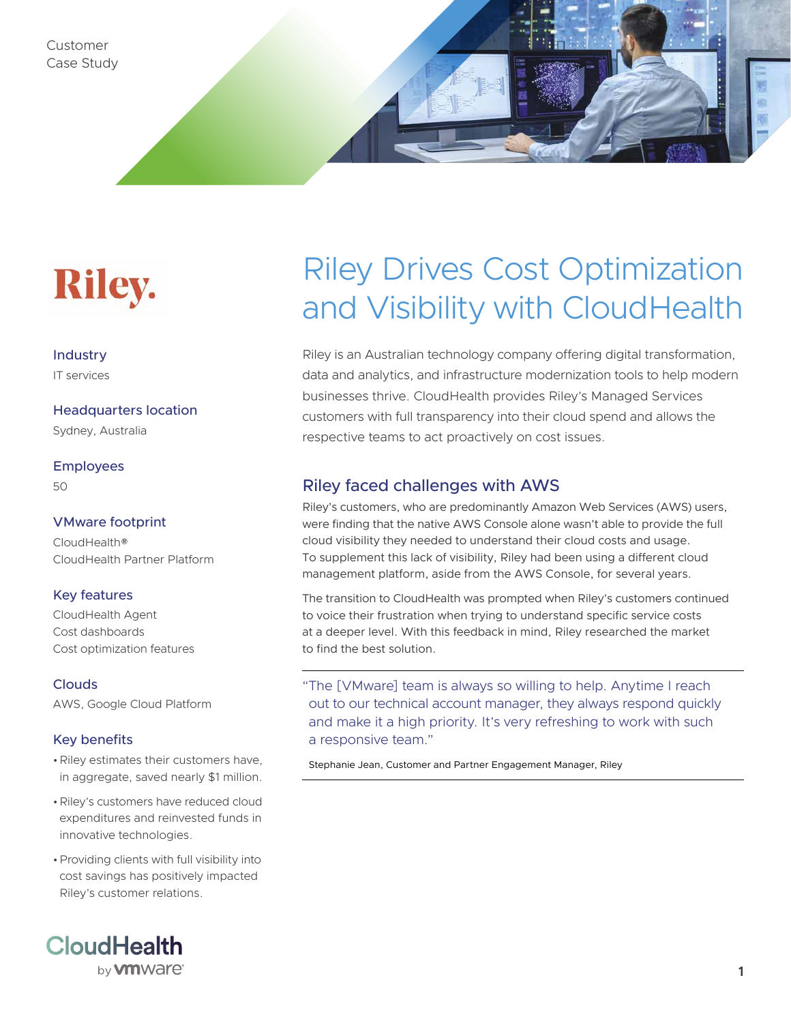Customer Case Study



#### Industry IT services

Headquarters location

Sydney, Australia

Employees

50

### VMware footprint

CloudHealth® CloudHealth Partner Platform

### Key features

CloudHealth Agent Cost dashboards Cost optimization features

**Clouds** AWS, Google Cloud Platform

### Key benefits

- •Riley estimates their customers have, in aggregate, saved nearly \$1 million.
- •Riley's customers have reduced cloud expenditures and reinvested funds in innovative technologies.
- •Providing clients with full visibility into cost savings has positively impacted Riley's customer relations.



# Riley Drives Cost Optimization and Visibility with CloudHealth

Riley is an Australian technology company offering digital transformation, data and analytics, and infrastructure modernization tools to help modern businesses thrive. CloudHealth provides Riley's Managed Services customers with full transparency into their cloud spend and allows the respective teams to act proactively on cost issues.

## Riley faced challenges with AWS

Riley's customers, who are predominantly Amazon Web Services (AWS) users, were finding that the native AWS Console alone wasn't able to provide the full cloud visibility they needed to understand their cloud costs and usage. To supplement this lack of visibility, Riley had been using a different cloud management platform, aside from the AWS Console, for several years.

The transition to CloudHealth was prompted when Riley's customers continued to voice their frustration when trying to understand specific service costs at a deeper level. With this feedback in mind, Riley researched the market to find the best solution.

"The [VMware] team is always so willing to help. Anytime I reach out to our technical account manager, they always respond quickly and make it a high priority. It's very refreshing to work with such a responsive team."

Stephanie Jean, Customer and Partner Engagement Manager, Riley